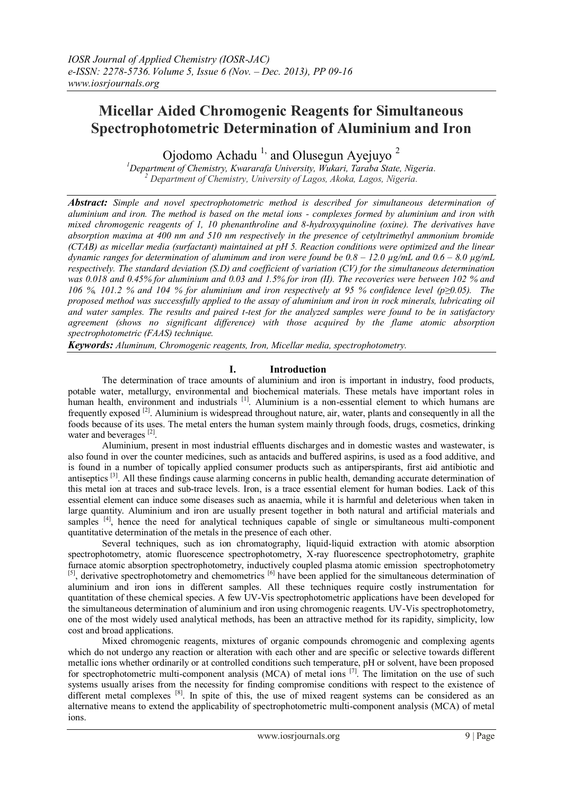# **Micellar Aided Chromogenic Reagents for Simultaneous Spectrophotometric Determination of Aluminium and Iron**

Ojodomo Achadu<sup>1,</sup> and Olusegun Ayejuyo<sup>2</sup>

*<sup>1</sup>Department of Chemistry, Kwararafa University, Wukari, Taraba State, Nigeria. <sup>2</sup> Department of Chemistry, University of Lagos, Akoka, Lagos, Nigeria.*

*Abstract: Simple and novel spectrophotometric method is described for simultaneous determination of aluminium and iron. The method is based on the metal ions - complexes formed by aluminium and iron with mixed chromogenic reagents of 1, 10 phenanthroline and 8-hydroxyquinoline (oxine). The derivatives have absorption maxima at 400 nm and 510 nm respectively in the presence of cetyltrimethyl ammonium bromide (CTAB) as micellar media (surfactant) maintained at pH 5. Reaction conditions were optimized and the linear dynamic ranges for determination of aluminum and iron were found be*  $0.8 - 12.0$  $\mu$ *g/mL and*  $0.6 - 8.0$  $\mu$ *g/mL respectively. The standard deviation (S.D) and coefficient of variation (CV) for the simultaneous determination was 0.018 and 0.45% for aluminium and 0.03 and 1.5% for iron (II). The recoveries were between 102 % and 106 %, 101.2 % and 104 % for aluminium and iron respectively at 95 % confidence level (p≥0.05). The proposed method was successfully applied to the assay of aluminium and iron in rock minerals, lubricating oil and water samples. The results and paired t-test for the analyzed samples were found to be in satisfactory agreement (shows no significant difference) with those acquired by the flame atomic absorption spectrophotometric (FAAS) technique.*

*Keywords: Aluminum, Chromogenic reagents, Iron, Micellar media, spectrophotometry.*

# **I. Introduction**

The determination of trace amounts of aluminium and iron is important in industry, food products, potable water, metallurgy, environmental and biochemical materials. These metals have important roles in human health, environment and industrials <sup>[1]</sup>. Aluminium is a non-essential element to which humans are frequently exposed <sup>[2]</sup>. Aluminium is widespread throughout nature, air, water, plants and consequently in all the foods because of its uses. The metal enters the human system mainly through foods, drugs, cosmetics, drinking water and beverages [2].

Aluminium, present in most industrial effluents discharges and in domestic wastes and wastewater, is also found in over the counter medicines, such as antacids and buffered aspirins, is used as a food additive, and is found in a number of topically applied consumer products such as antiperspirants, first aid antibiotic and antiseptics [3]. All these findings cause alarming concerns in public health, demanding accurate determination of this metal ion at traces and sub-trace levels. Iron, is a trace essential element for human bodies. Lack of this essential element can induce some diseases such as anaemia, while it is harmful and deleterious when taken in large quantity. Aluminium and iron are usually present together in both natural and artificial materials and samples <sup>[4]</sup>, hence the need for analytical techniques capable of single or simultaneous multi-component quantitative determination of the metals in the presence of each other.

Several techniques, such as ion chromatography, liquid-liquid extraction with atomic absorption spectrophotometry, atomic fluorescence spectrophotometry, X-ray fluorescence spectrophotometry, graphite furnace atomic absorption spectrophotometry, inductively coupled plasma atomic emission spectrophotometry [5], derivative spectrophotometry and chemometrics [6] have been applied for the simultaneous determination of aluminium and iron ions in different samples. All these techniques require costly instrumentation for quantitation of these chemical species. A few UV-Vis spectrophotometric applications have been developed for the simultaneous determination of aluminium and iron using chromogenic reagents. UV-Vis spectrophotometry, one of the most widely used analytical methods, has been an attractive method for its rapidity, simplicity, low cost and broad applications.

Mixed chromogenic reagents, mixtures of organic compounds chromogenic and complexing agents which do not undergo any reaction or alteration with each other and are specific or selective towards different metallic ions whether ordinarily or at controlled conditions such temperature, pH or solvent, have been proposed for spectrophotometric multi-component analysis (MCA) of metal ions  $^{[7]}$ . The limitation on the use of such systems usually arises from the necessity for finding compromise conditions with respect to the existence of different metal complexes <sup>[8]</sup>. In spite of this, the use of mixed reagent systems can be considered as an alternative means to extend the applicability of spectrophotometric multi-component analysis (MCA) of metal ions.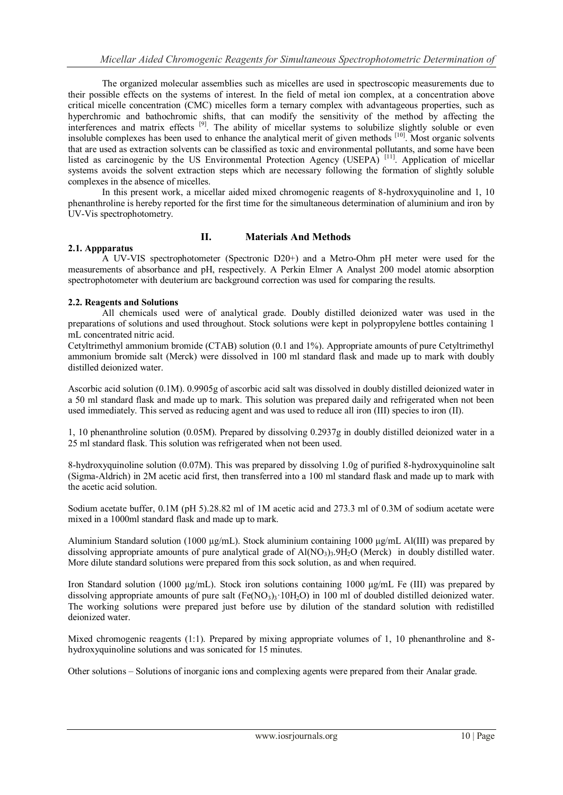The organized molecular assemblies such as micelles are used in spectroscopic measurements due to their possible effects on the systems of interest. In the field of metal ion complex, at a concentration above critical micelle concentration (CMC) micelles form a ternary complex with advantageous properties, such as hyperchromic and bathochromic shifts, that can modify the sensitivity of the method by affecting the interferences and matrix effects <sup>[9]</sup>. The ability of micellar systems to solubilize slightly soluble or even insoluble complexes has been used to enhance the analytical merit of given methods [10]. Most organic solvents that are used as extraction solvents can be classified as toxic and environmental pollutants, and some have been listed as carcinogenic by the US Environmental Protection Agency (USEPA)<sup>[11]</sup>. Application of micellar systems avoids the solvent extraction steps which are necessary following the formation of slightly soluble complexes in the absence of micelles.

In this present work, a micellar aided mixed chromogenic reagents of 8-hydroxyquinoline and 1, 10 phenanthroline is hereby reported for the first time for the simultaneous determination of aluminium and iron by UV-Vis spectrophotometry.

# **II. Materials And Methods**

#### **2.1. Appparatus**

A UV-VIS spectrophotometer (Spectronic D20+) and a Metro-Ohm pH meter were used for the measurements of absorbance and pH, respectively. A Perkin Elmer A Analyst 200 model atomic absorption spectrophotometer with deuterium arc background correction was used for comparing the results.

# **2.2. Reagents and Solutions**

All chemicals used were of analytical grade. Doubly distilled deionized water was used in the preparations of solutions and used throughout. Stock solutions were kept in polypropylene bottles containing 1 mL concentrated nitric acid.

Cetyltrimethyl ammonium bromide (CTAB) solution (0.1 and 1%). Appropriate amounts of pure Cetyltrimethyl ammonium bromide salt (Merck) were dissolved in 100 ml standard flask and made up to mark with doubly distilled deionized water.

Ascorbic acid solution (0.1M). 0.9905g of ascorbic acid salt was dissolved in doubly distilled deionized water in a 50 ml standard flask and made up to mark. This solution was prepared daily and refrigerated when not been used immediately. This served as reducing agent and was used to reduce all iron (III) species to iron (II).

1, 10 phenanthroline solution (0.05M). Prepared by dissolving 0.2937g in doubly distilled deionized water in a 25 ml standard flask. This solution was refrigerated when not been used.

8-hydroxyquinoline solution (0.07M). This was prepared by dissolving 1.0g of purified 8-hydroxyquinoline salt (Sigma-Aldrich) in 2M acetic acid first, then transferred into a 100 ml standard flask and made up to mark with the acetic acid solution.

Sodium acetate buffer, 0.1M (pH 5).28.82 ml of 1M acetic acid and 273.3 ml of 0.3M of sodium acetate were mixed in a 1000ml standard flask and made up to mark.

Aluminium Standard solution (1000 µg/mL). Stock aluminium containing 1000 μg/mL Al(III) was prepared by dissolving appropriate amounts of pure analytical grade of  $A/(NO<sub>3</sub>)<sub>3</sub>$ . (Merck) in doubly distilled water. More dilute standard solutions were prepared from this sock solution, as and when required.

Iron Standard solution (1000  $\mu$ g/mL). Stock iron solutions containing 1000  $\mu$ g/mL Fe (III) was prepared by dissolving appropriate amounts of pure salt  $(Fe(NO<sub>3</sub>)<sub>3</sub> \cdot 10H<sub>2</sub>O)$  in 100 ml of doubled distilled deionized water. The working solutions were prepared just before use by dilution of the standard solution with redistilled deionized water.

Mixed chromogenic reagents (1:1). Prepared by mixing appropriate volumes of 1, 10 phenanthroline and 8hydroxyquinoline solutions and was sonicated for 15 minutes.

Other solutions – Solutions of inorganic ions and complexing agents were prepared from their Analar grade.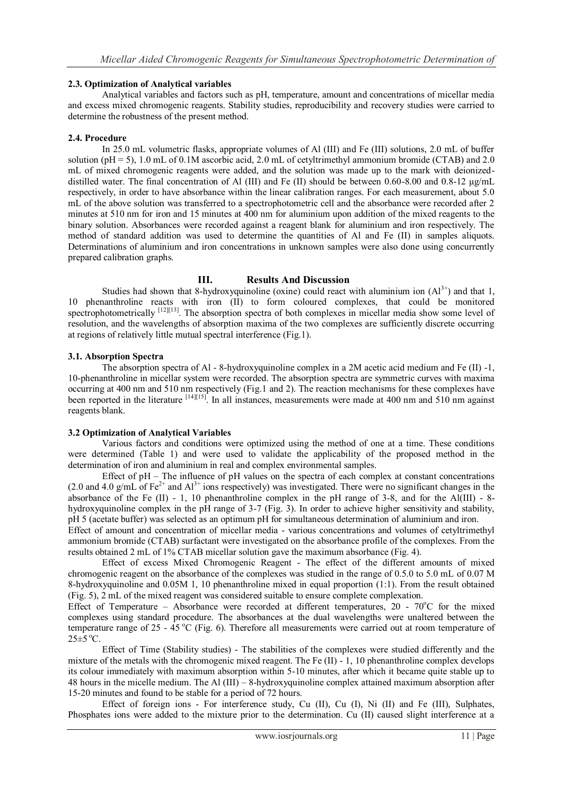# **2.3. Optimization of Analytical variables**

Analytical variables and factors such as pH, temperature, amount and concentrations of micellar media and excess mixed chromogenic reagents. Stability studies, reproducibility and recovery studies were carried to determine the robustness of the present method.

#### **2.4. Procedure**

 In 25.0 mL volumetric flasks, appropriate volumes of Al (III) and Fe (III) solutions, 2.0 mL of buffer solution ( $pH = 5$ ), 1.0 mL of 0.1M ascorbic acid, 2.0 mL of cetyltrimethyl ammonium bromide (CTAB) and 2.0 mL of mixed chromogenic reagents were added, and the solution was made up to the mark with deionizeddistilled water. The final concentration of Al (III) and Fe (II) should be between 0.60-8.00 and 0.8-12 μg/mL respectively, in order to have absorbance within the linear calibration ranges. For each measurement, about 5.0 mL of the above solution was transferred to a spectrophotometric cell and the absorbance were recorded after 2 minutes at 510 nm for iron and 15 minutes at 400 nm for aluminium upon addition of the mixed reagents to the binary solution. Absorbances were recorded against a reagent blank for aluminium and iron respectively. The method of standard addition was used to determine the quantities of Al and Fe (II) in samples aliquots. Determinations of aluminium and iron concentrations in unknown samples were also done using concurrently prepared calibration graphs.

#### **III. Results And Discussion**

Studies had shown that 8-hydroxyquinoline (oxine) could react with aluminium ion  $(A1<sup>3+</sup>)$  and that 1, 10 phenanthroline reacts with iron (II) to form coloured complexes, that could be monitored spectrophotometrically  $^{[12][13]}$ . The absorption spectra of both complexes in micellar media show some level of resolution, and the wavelengths of absorption maxima of the two complexes are sufficiently discrete occurring at regions of relatively little mutual spectral interference (Fig.1).

#### **3.1. Absorption Spectra**

The absorption spectra of Al - 8-hydroxyquinoline complex in a 2M acetic acid medium and Fe (II) -1, 10-phenanthroline in micellar system were recorded. The absorption spectra are symmetric curves with maxima occurring at 400 nm and 510 nm respectively (Fig.1 and 2). The reaction mechanisms for these complexes have been reported in the literature <sup>[14][15]</sup>. In all instances, measurements were made at 400 nm and 510 nm against reagents blank.

#### **3.2 Optimization of Analytical Variables**

Various factors and conditions were optimized using the method of one at a time. These conditions were determined (Table 1) and were used to validate the applicability of the proposed method in the determination of iron and aluminium in real and complex environmental samples.

Effect of pH – The influence of pH values on the spectra of each complex at constant concentrations  $(2.0 \text{ and } 4.0 \text{ g/mL of } Fe^{2+} \text{ and } Al^{3+} \text{ ions respectively})$  was investigated. There were no significant changes in the absorbance of the Fe  $(II)$  - 1, 10 phenanthroline complex in the pH range of 3-8, and for the Al $(III)$  - 8hydroxyquinoline complex in the pH range of 3-7 (Fig. 3). In order to achieve higher sensitivity and stability, pH 5 (acetate buffer) was selected as an optimum pH for simultaneous determination of aluminium and iron.

Effect of amount and concentration of micellar media - various concentrations and volumes of cetyltrimethyl ammonium bromide (CTAB) surfactant were investigated on the absorbance profile of the complexes. From the results obtained 2 mL of 1% CTAB micellar solution gave the maximum absorbance (Fig. 4).

Effect of excess Mixed Chromogenic Reagent - The effect of the different amounts of mixed chromogenic reagent on the absorbance of the complexes was studied in the range of 0.5.0 to 5.0 mL of 0.07 M 8-hydroxyquinoline and 0.05M 1, 10 phenanthroline mixed in equal proportion (1:1). From the result obtained (Fig. 5), 2 mL of the mixed reagent was considered suitable to ensure complete complexation.

Effect of Temperature – Absorbance were recorded at different temperatures,  $20$  -  $70^{\circ}$ C for the mixed complexes using standard procedure. The absorbances at the dual wavelengths were unaltered between the temperature range of  $25 - 45$  °C (Fig. 6). Therefore all measurements were carried out at room temperature of  $25 \pm 5$  °C.

Effect of Time (Stability studies) - The stabilities of the complexes were studied differently and the mixture of the metals with the chromogenic mixed reagent. The Fe (II) - 1, 10 phenanthroline complex develops its colour immediately with maximum absorption within 5-10 minutes, after which it became quite stable up to 48 hours in the micelle medium. The Al (III) – 8-hydroxyquinoline complex attained maximum absorption after 15-20 minutes and found to be stable for a period of 72 hours.

Effect of foreign ions - For interference study, Cu (II), Cu (I), Ni (II) and Fe (III), Sulphates, Phosphates ions were added to the mixture prior to the determination. Cu (II) caused slight interference at a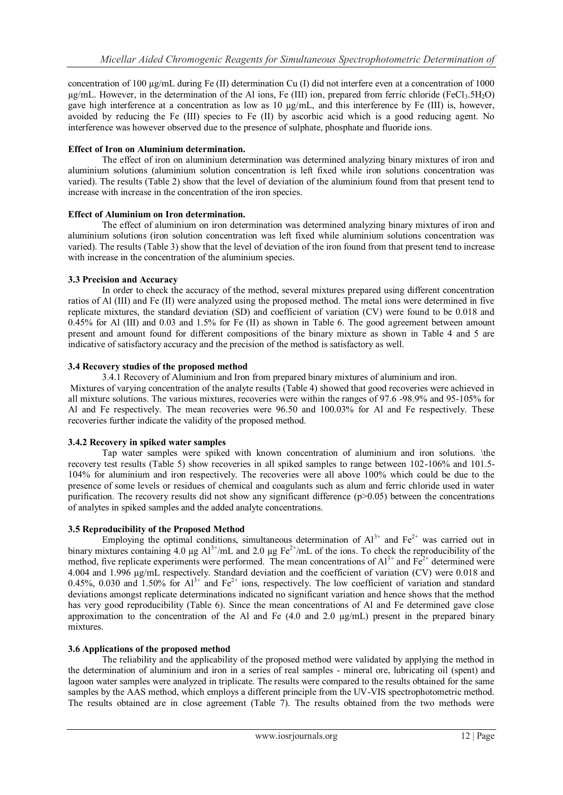concentration of 100  $\mu$ g/mL during Fe (II) determination Cu (I) did not interfere even at a concentration of 1000  $\mu$ g/mL. However, in the determination of the Al ions, Fe (III) ion, prepared from ferric chloride (FeCl<sub>3</sub>.5H<sub>2</sub>O) gave high interference at a concentration as low as  $10 \mu g/mL$ , and this interference by Fe (III) is, however, avoided by reducing the Fe (III) species to Fe (II) by ascorbic acid which is a good reducing agent. No interference was however observed due to the presence of sulphate, phosphate and fluoride ions.

### **Effect of Iron on Aluminium determination.**

The effect of iron on aluminium determination was determined analyzing binary mixtures of iron and aluminium solutions (aluminium solution concentration is left fixed while iron solutions concentration was varied). The results (Table 2) show that the level of deviation of the aluminium found from that present tend to increase with increase in the concentration of the iron species.

# **Effect of Aluminium on Iron determination.**

The effect of aluminium on iron determination was determined analyzing binary mixtures of iron and aluminium solutions (iron solution concentration was left fixed while aluminium solutions concentration was varied). The results (Table 3) show that the level of deviation of the iron found from that present tend to increase with increase in the concentration of the aluminium species.

# **3.3 Precision and Accuracy**

In order to check the accuracy of the method, several mixtures prepared using different concentration ratios of Al (III) and Fe (II) were analyzed using the proposed method. The metal ions were determined in five replicate mixtures, the standard deviation (SD) and coefficient of variation (CV) were found to be 0.018 and 0.45% for Al (III) and 0.03 and 1.5% for Fe (II) as shown in Table 6. The good agreement between amount present and amount found for different compositions of the binary mixture as shown in Table 4 and 5 are indicative of satisfactory accuracy and the precision of the method is satisfactory as well.

#### **3.4 Recovery studies of the proposed method**

3.4.1 Recovery of Aluminium and Iron from prepared binary mixtures of aluminium and iron.

Mixtures of varying concentration of the analyte results (Table 4) showed that good recoveries were achieved in all mixture solutions. The various mixtures, recoveries were within the ranges of 97.6 -98.9% and 95-105% for Al and Fe respectively. The mean recoveries were 96.50 and 100.03% for Al and Fe respectively. These recoveries further indicate the validity of the proposed method.

# **3.4.2 Recovery in spiked water samples**

Tap water samples were spiked with known concentration of aluminium and iron solutions. \the recovery test results (Table 5) show recoveries in all spiked samples to range between 102-106% and 101.5- 104% for aluminium and iron respectively. The recoveries were all above 100% which could be due to the presence of some levels or residues of chemical and coagulants such as alum and ferric chloride used in water purification. The recovery results did not show any significant difference (p>0.05) between the concentrations of analytes in spiked samples and the added analyte concentrations.

# **3.5 Reproducibility of the Proposed Method**

Employing the optimal conditions, simultaneous determination of  $Al^{3+}$  and  $Fe^{2+}$  was carried out in binary mixtures containing 4.0  $\mu$ g Al<sup>3+</sup>/mL and 2.0  $\mu$ g Fe<sup>2+</sup>/mL of the ions. To check the reproducibility of the method, five replicate experiments were performed. The mean concentrations of  $Al^{3+}$  and  $Fe^{2+}$  determined were 4.004 and 1.996 µg/mL respectively. Standard deviation and the coefficient of variation (CV) were 0.018 and 0.45%, 0.030 and 1.50% for  $Al^{3+}$  and  $Fe^{2+}$  ions, respectively. The low coefficient of variation and standard 0.45%, 0.030 and 1.50% for  $Al^{3+}$  and  $Fe^{2+}$  ions, respectively. The low coefficient of variation and stan deviations amongst replicate determinations indicated no significant variation and hence shows that the method has very good reproducibility (Table 6). Since the mean concentrations of Al and Fe determined gave close approximation to the concentration of the Al and Fe  $(4.0 \text{ and } 2.0 \text{ µg/mL})$  present in the prepared binary mixtures.

# **3.6 Applications of the proposed method**

The reliability and the applicability of the proposed method were validated by applying the method in the determination of aluminium and iron in a series of real samples - mineral ore, lubricating oil (spent) and lagoon water samples were analyzed in triplicate. The results were compared to the results obtained for the same samples by the AAS method, which employs a different principle from the UV-VIS spectrophotometric method. The results obtained are in close agreement (Table 7). The results obtained from the two methods were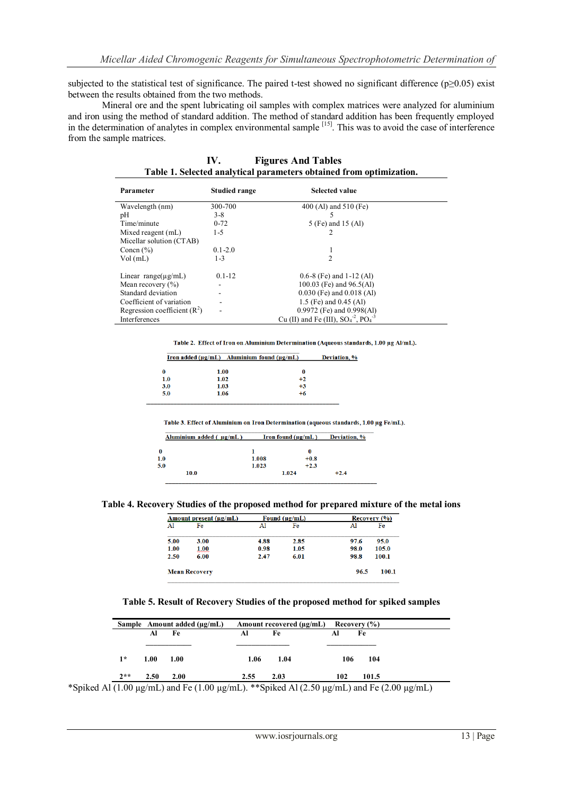subjected to the statistical test of significance. The paired t-test showed no significant difference (p≥0.05) exist between the results obtained from the two methods.

Mineral ore and the spent lubricating oil samples with complex matrices were analyzed for aluminium and iron using the method of standard addition. The method of standard addition has been frequently employed in the determination of analytes in complex environmental sample <sup>[15]</sup>. This was to avoid the case of interference from the sample matrices.

| Table 1. Selected analytical parameters obtained if onl optimization. |                      |                                                               |  |  |
|-----------------------------------------------------------------------|----------------------|---------------------------------------------------------------|--|--|
| Parameter                                                             | <b>Studied range</b> | <b>Selected value</b>                                         |  |  |
| Wavelength (nm)                                                       | 300-700              | 400 (Al) and 510 (Fe)                                         |  |  |
| pH                                                                    | $3 - 8$              |                                                               |  |  |
| Time/minute                                                           | $0 - 72$             | 5 (Fe) and 15 (Al)                                            |  |  |
| Mixed reagent (mL)                                                    | 1-5                  |                                                               |  |  |
| Micellar solution (CTAB)                                              |                      |                                                               |  |  |
| Concn $(\% )$                                                         | $0.1 - 2.0$          |                                                               |  |  |
| Vol(mL)                                                               | $1 - 3$              | $\mathfrak{D}$                                                |  |  |
| Linear range( $\mu$ g/mL)                                             | $0.1 - 12$           | $0.6-8$ (Fe) and 1-12 (Al)                                    |  |  |
|                                                                       |                      | 100.03 (Fe) and 96.5(Al)                                      |  |  |
| Mean recovery $(\% )$<br>Standard deviation                           |                      |                                                               |  |  |
|                                                                       |                      | $0.030$ (Fe) and $0.018$ (Al)                                 |  |  |
| Coefficient of variation                                              |                      | 1.5 (Fe) and 0.45 (Al)                                        |  |  |
| Regression coefficient $(R2)$                                         |                      | $0.9972$ (Fe) and $0.998$ (Al)                                |  |  |
| Interferences                                                         |                      | Cu (II) and Fe (III), $SO_4^{\text{-2}}$ , $PO_4^{\text{-3}}$ |  |  |

**IV. Figures And Tables Table 1. Selected analytical parameters obtained from optimization.**

Table 2. Effect of Iron on Aluminium Determination (Aqueous standards, 1.00 µg Al/mL).

|     | Iron added $(\mu g/mL)$ Aluminium found $(\mu g/mL)$ |      | Deviation, % |
|-----|------------------------------------------------------|------|--------------|
|     | 1.00                                                 | 0    |              |
| 1.0 | 1.02                                                 | $+2$ |              |
| 3.0 | 1.03                                                 | $+3$ |              |
| 5.0 | 1.06                                                 | +6   |              |
|     |                                                      |      |              |

Table 3. Effect of Aluminium on Iron Determination (aqueous standards, 1.00 µg Fe/mL).

| Aluminium added $(\mu g/mL)$ |       | Iron found $(\mu g/mL)$ |        |  |
|------------------------------|-------|-------------------------|--------|--|
| 0                            |       | 0                       |        |  |
| 1.0                          | 1.008 | $+0.8$                  |        |  |
| 5.0                          | 1.023 | $+2.3$                  |        |  |
| 10.0                         |       | 1.024                   | $+2.4$ |  |

**Table 4. Recovery Studies of the proposed method for prepared mixture of the metal ions**

|      | Amount present (µg/mL) |      | Found $(\mu g/mL)$ |      | Recovery (%) |
|------|------------------------|------|--------------------|------|--------------|
| Al   | Fe                     | Al   | Fe                 | Al   | Fe           |
| 5.00 | 3.00                   | 4.88 | 2.85               | 97.6 | 95.0         |
| 1.00 | 1.00                   | 0.98 | 1.05               | 98.0 | 105.0        |
| 2.50 | 6.00                   | 2.47 | 6.01               | 98.8 | 100.1        |

#### **Table 5. Result of Recovery Studies of the proposed method for spiked samples**

|       |      | Sample Amount added $(\mu g/mL)$ |      | Amount recovered $(\mu g/mL)$ Recovery $(\%)$ |     |       |
|-------|------|----------------------------------|------|-----------------------------------------------|-----|-------|
|       | Al   | Fe                               | Al   | Fe                                            | Al  | Fe    |
|       |      |                                  |      |                                               |     |       |
| $1*$  | 1.00 | 1.00                             | 1.06 | 1.04                                          | 106 | 104   |
| $2**$ | 2.50 | 2.00                             | 2.55 | 2.03                                          | 102 | 101.5 |

\*Spiked Al  $(1.00 \,\mu\text{g/mL})$  and Fe (1.00  $\mu\text{g/mL}$ ). \*\*Spiked Al (2.50  $\mu\text{g/mL}$ ) and Fe (2.00  $\mu\text{g/mL}$ )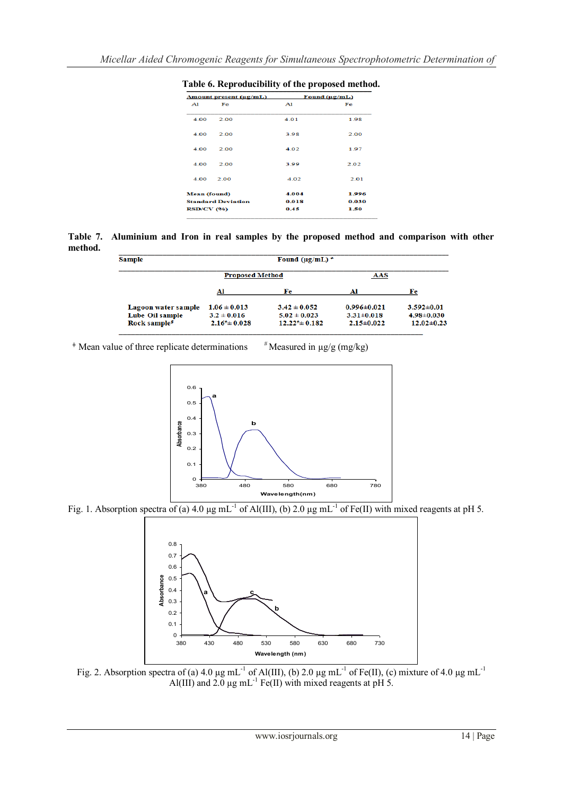| Amount present (ug/mL)    |      | Found $(\mu g/mL)$ |       |  |
|---------------------------|------|--------------------|-------|--|
| A1                        | Fe   | A1                 | Fe    |  |
| 4.00                      | 2.00 | 4.01               | 1.98  |  |
| 4.00                      | 2.00 | 3.98               | 2.00  |  |
| 4.00                      | 2.00 | 4.02               | 197   |  |
| 4.00                      | 2.00 | 3.99               | 2.02  |  |
| 4.00                      | 2.00 | 4.02               | 2.01  |  |
| Mean (found)              |      | 4.004              | 1.996 |  |
| <b>Standard Deviation</b> |      | 0.018              | 0.030 |  |
| <b>RSD/CV (%)</b>         |      | 0.45               | 1.50  |  |
|                           |      |                    |       |  |

**Table 6. Reproducibility of the proposed method.**

**Table 7. Aluminium and Iron in real samples by the proposed method and comparison with other method.**

| <b>Sample</b>            |                             | Found ( $\mu$ g/mL) $\pm$ |                   |                  |
|--------------------------|-----------------------------|---------------------------|-------------------|------------------|
|                          | <b>Proposed Method</b>      |                           | AAS               |                  |
|                          | Al                          | Fe                        | Al                | Fe               |
| Lagoon water sample      | $1.06 \pm 0.013$            | $3.42 \pm 0.052$          | $0.996 \pm 0.021$ | $3.592 \pm 0.01$ |
| Lube Oil sample          | $3.2 \pm 0.016$             | $5.02 \pm 0.023$          | $3.31 \pm 0.018$  | $4.98 \pm 0.030$ |
| Rock sample <sup>#</sup> | $2.16^{\text{*}} \pm 0.028$ | $12.22^{\#}$ + 0.182      | $2.15 \pm 0.022$  | $12.02 \pm 0.23$ |

 $*$  Mean value of three replicate determinations  $*$  Measured in  $\mu$ g/g (mg/kg)



Fig. 1. Absorption spectra of (a) 4.0  $\mu$ g mL<sup>-1</sup> of Al(III), (b) 2.0  $\mu$ g mL<sup>-1</sup> of Fe(II) with mixed reagents at pH 5.



Fig. 2. Absorption spectra of (a) 4.0  $\mu$ g mL<sup>-1</sup> of Al(III), (b) 2.0  $\mu$ g mL<sup>-1</sup> of Fe(II), (c) mixture of 4.0  $\mu$ g mL<sup>-1</sup> Al(III) and 2.0  $\mu$ g mL<sup>-1</sup> Fe(II) with mixed reagents at pH 5.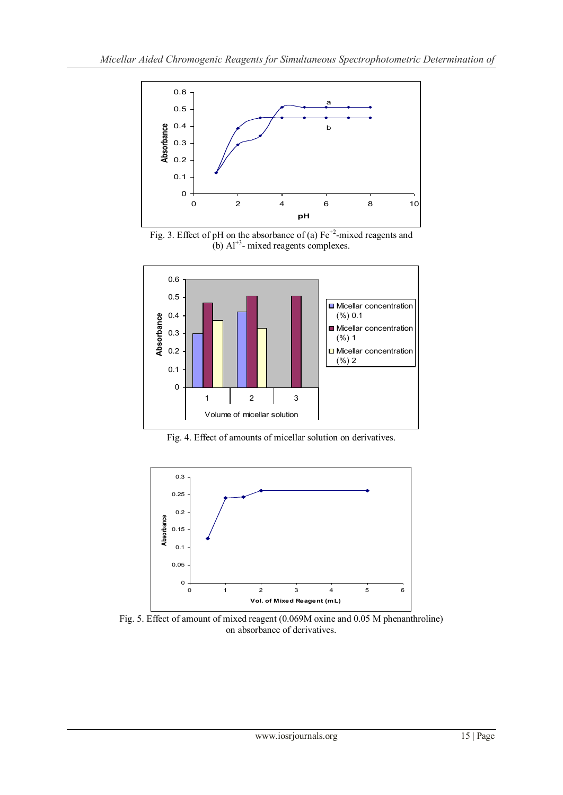

Fig. 3. Effect of pH on the absorbance of (a)  $Fe^{+2}$ -mixed reagents and (b)  $Al^{+3}$ - mixed reagents complexes.



Fig. 4. Effect of amounts of micellar solution on derivatives.



Fig. 5. Effect of amount of mixed reagent (0.069M oxine and 0.05 M phenanthroline) on absorbance of derivatives.